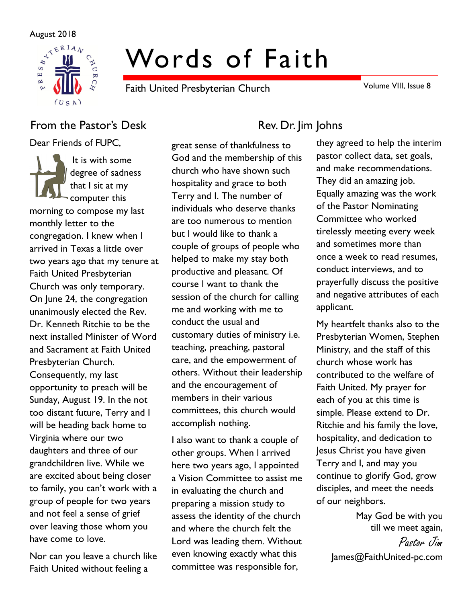

# Words of Faith

Faith United Presbyterian Church

Volume VIII, Issue 8

# From the Pastor's Desk Rev. Dr. Jim Johns

Dear Friends of FUPC,

It is with some degree of sadness that I sit at my computer this morning to compose my last monthly letter to the congregation. I knew when I arrived in Texas a little over two years ago that my tenure at Faith United Presbyterian Church was only temporary. On June 24, the congregation unanimously elected the Rev. Dr. Kenneth Ritchie to be the next installed Minister of Word and Sacrament at Faith United Presbyterian Church. Consequently, my last opportunity to preach will be Sunday, August 19. In the not too distant future, Terry and I will be heading back home to Virginia where our two daughters and three of our grandchildren live. While we are excited about being closer to family, you can't work with a group of people for two years and not feel a sense of grief over leaving those whom you have come to love.

Nor can you leave a church like Faith United without feeling a

great sense of thankfulness to God and the membership of this church who have shown such hospitality and grace to both Terry and I. The number of individuals who deserve thanks are too numerous to mention but I would like to thank a couple of groups of people who helped to make my stay both productive and pleasant. Of course I want to thank the session of the church for calling me and working with me to conduct the usual and customary duties of ministry i.e. teaching, preaching, pastoral care, and the empowerment of others. Without their leadership and the encouragement of members in their various committees, this church would accomplish nothing.

I also want to thank a couple of other groups. When I arrived here two years ago, I appointed a Vision Committee to assist me in evaluating the church and preparing a mission study to assess the identity of the church and where the church felt the Lord was leading them. Without even knowing exactly what this committee was responsible for,

they agreed to help the interim pastor collect data, set goals, and make recommendations. They did an amazing job. Equally amazing was the work of the Pastor Nominating Committee who worked tirelessly meeting every week and sometimes more than once a week to read resumes, conduct interviews, and to prayerfully discuss the positive and negative attributes of each applicant.

My heartfelt thanks also to the Presbyterian Women, Stephen Ministry, and the staff of this church whose work has contributed to the welfare of Faith United. My prayer for each of you at this time is simple. Please extend to Dr. Ritchie and his family the love, hospitality, and dedication to Jesus Christ you have given Terry and I, and may you continue to glorify God, grow disciples, and meet the needs of our neighbors.

> May God be with you till we meet again,

Pastor Jim James@FaithUnited-pc.com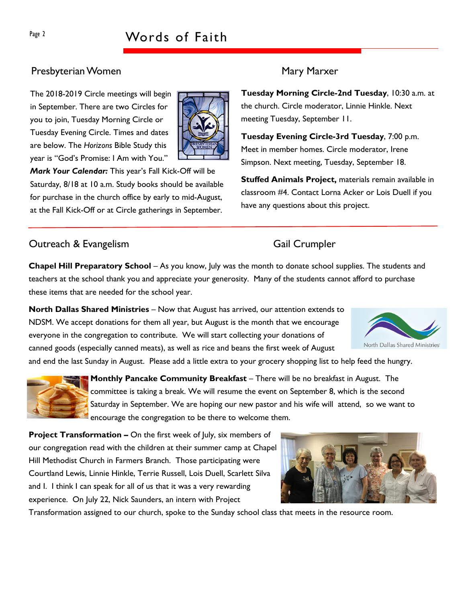# Presbyterian Women Mary Marxer

The 2018-2019 Circle meetings will begin in September. There are two Circles for you to join, Tuesday Morning Circle or Tuesday Evening Circle. Times and dates are below. The Horizons Bible Study this year is "God's Promise: I Am with You."



Mark Your Calendar: This year's Fall Kick-Off will be Saturday, 8/18 at 10 a.m. Study books should be available for purchase in the church office by early to mid-August, at the Fall Kick-Off or at Circle gatherings in September.

# **Outreach & Evangelism** Gail Crumpler

Tuesday Morning Circle-2nd Tuesday, 10:30 a.m. at the church. Circle moderator, Linnie Hinkle. Next meeting Tuesday, September 11.

Tuesday Evening Circle-3rd Tuesday, 7:00 p.m. Meet in member homes. Circle moderator, Irene Simpson. Next meeting, Tuesday, September 18.

Stuffed Animals Project, materials remain available in classroom #4. Contact Lorna Acker or Lois Duell if you have any questions about this project.

Chapel Hill Preparatory School – As you know, July was the month to donate school supplies. The students and teachers at the school thank you and appreciate your generosity. Many of the students cannot afford to purchase these items that are needed for the school year.

North Dallas Shared Ministries – Now that August has arrived, our attention extends to NDSM. We accept donations for them all year, but August is the month that we encourage everyone in the congregation to contribute. We will start collecting your donations of canned goods (especially canned meats), as well as rice and beans the first week of August

and end the last Sunday in August. Please add a little extra to your grocery shopping list to help feed the hungry.



Monthly Pancake Community Breakfast – There will be no breakfast in August. The committee is taking a break. We will resume the event on September 8, which is the second Saturday in September. We are hoping our new pastor and his wife will attend, so we want to encourage the congregation to be there to welcome them.

Project Transformation – On the first week of July, six members of our congregation read with the children at their summer camp at Chapel Hill Methodist Church in Farmers Branch. Those participating were Courtland Lewis, Linnie Hinkle, Terrie Russell, Lois Duell, Scarlett Silva and I. I think I can speak for all of us that it was a very rewarding experience. On July 22, Nick Saunders, an intern with Project

Transformation assigned to our church, spoke to the Sunday school class that meets in the resource room.



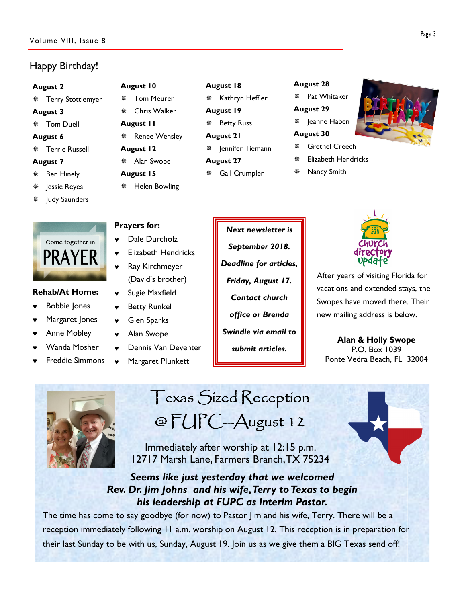## Happy Birthday!

### August 2

Terry Stottlemyer

### August 3

Tom Duell

### August 6

Terrie Russell

### August 7

- Ben Hinely
- Jessie Reyes
- Judy Saunders

# Come together in PRAYER

### Rehab/At Home:

- **Bobbie Jones**
- ♥ Margaret Jones
- **Anne Mobley**
- Wanda Mosher
- **Freddie Simmons**

# August 10

- Tom Meurer
- Chris Walker August 11
- ※ Renee Wensley
- 
- August 12
- Alan Swope
- August 15

Prayers for:

Helen Bowling

♥ Dale Durcholz

♥ Ray Kirchmeyer

♥ Sugie Maxfield **Betty Runkel** 

♥ Glen Sparks Alan Swope

♥ Elizabeth Hendricks

(David's brother)

Dennis Van Deventer Margaret Plunkett

# August 18

- Kathryn Heffler August 19
- **※ Betty Russ**
- August 21
- $*$  | ennifer Tiemann
- August 27
- Gail Crumpler

# August 28

Pat Whitaker

### August 29

※ Jeanne Haben

### August 30

- Grethel Creech
- Elizabeth Hendricks
- Nancy Smith



After years of visiting Florida for vacations and extended stays, the Swopes have moved there. Their new mailing address is below.

Alan & Holly Swope P.O. Box 1039 Ponte Vedra Beach, FL 32004



Texas Sized Reception @ FUPC-August 12

 Immediately after worship at 12:15 p.m. 12717 Marsh Lane, Farmers Branch, TX 75234

# Seems like just yesterday that we welcomed Rev. Dr. Jim Johns and his wife, Terry to Texas to begin his leadership at FUPC as Interim Pastor.

The time has come to say goodbye (for now) to Pastor Jim and his wife, Terry. There will be a reception immediately following 11 a.m. worship on August 12. This reception is in preparation for their last Sunday to be with us, Sunday, August 19. Join us as we give them a BIG Texas send off!

# Next newsletter is September 2018. Friday, August 17. Contact church office or Brenda submit articles.